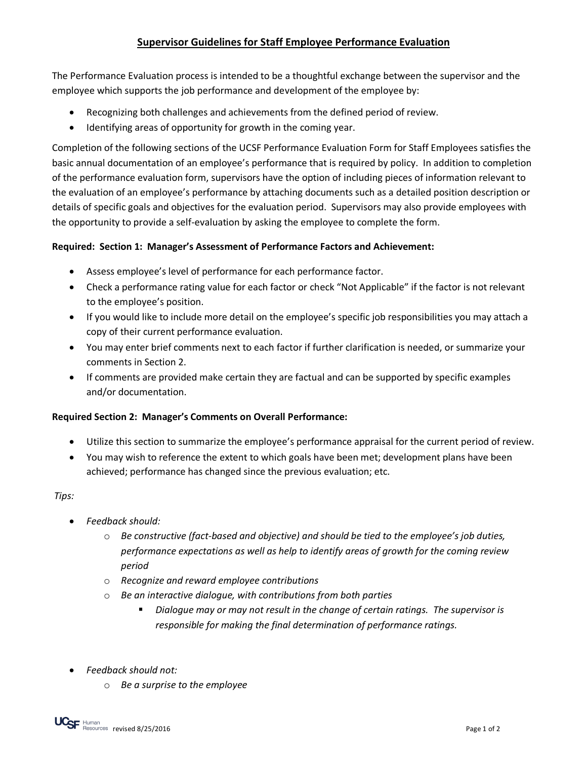## **Supervisor Guidelines for Staff Employee Performance Evaluation**

The Performance Evaluation process is intended to be a thoughtful exchange between the supervisor and the employee which supports the job performance and development of the employee by:

- Recognizing both challenges and achievements from the defined period of review.
- Identifying areas of opportunity for growth in the coming year.

Completion of the following sections of the UCSF Performance Evaluation Form for Staff Employees satisfies the basic annual documentation of an employee's performance that is required by policy. In addition to completion of the performance evaluation form, supervisors have the option of including pieces of information relevant to the evaluation of an employee's performance by attaching documents such as a detailed position description or details of specific goals and objectives for the evaluation period. Supervisors may also provide employees with the opportunity to provide a self-evaluation by asking the employee to complete the form.

## **Required: Section 1: Manager's Assessment of Performance Factors and Achievement:**

- Assess employee's level of performance for each performance factor.
- Check a performance rating value for each factor or check "Not Applicable" if the factor is not relevant to the employee's position.
- If you would like to include more detail on the employee's specific job responsibilities you may attach a copy of their current performance evaluation.
- You may enter brief comments next to each factor if further clarification is needed, or summarize your comments in Section 2.
- If comments are provided make certain they are factual and can be supported by specific examples and/or documentation.

## **Required Section 2: Manager's Comments on Overall Performance:**

- Utilize this section to summarize the employee's performance appraisal for the current period of review.
- You may wish to reference the extent to which goals have been met; development plans have been achieved; performance has changed since the previous evaluation; etc.

## *Tips:*

- *Feedback should:*
	- o *Be constructive (fact-based and objective) and should be tied to the employee's job duties, performance expectations as well as help to identify areas of growth for the coming review period*
	- o *Recognize and reward employee contributions*
	- o *Be an interactive dialogue, with contributions from both parties*
		- *Dialogue may or may not result in the change of certain ratings. The supervisor is responsible for making the final determination of performance ratings.*
- *Feedback should not:*
	- o *Be a surprise to the employee*